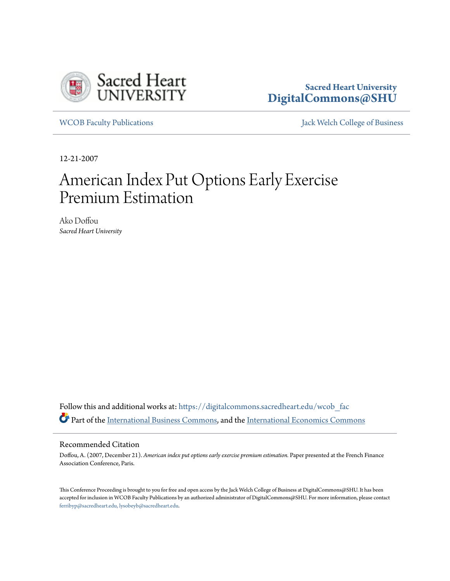

## **Sacred Heart University [DigitalCommons@SHU](https://digitalcommons.sacredheart.edu?utm_source=digitalcommons.sacredheart.edu%2Fwcob_fac%2F502&utm_medium=PDF&utm_campaign=PDFCoverPages)**

[WCOB Faculty Publications](https://digitalcommons.sacredheart.edu/wcob_fac?utm_source=digitalcommons.sacredheart.edu%2Fwcob_fac%2F502&utm_medium=PDF&utm_campaign=PDFCoverPages) **MECOB** Faculty Publications **Accord Publications** [Jack Welch College of Business](https://digitalcommons.sacredheart.edu/wcob?utm_source=digitalcommons.sacredheart.edu%2Fwcob_fac%2F502&utm_medium=PDF&utm_campaign=PDFCoverPages)

12-21-2007

# American Index Put Options Early Exercise Premium Estimation

Ako Doffou *Sacred Heart University*

Follow this and additional works at: [https://digitalcommons.sacredheart.edu/wcob\\_fac](https://digitalcommons.sacredheart.edu/wcob_fac?utm_source=digitalcommons.sacredheart.edu%2Fwcob_fac%2F502&utm_medium=PDF&utm_campaign=PDFCoverPages) Part of the [International Business Commons](http://network.bepress.com/hgg/discipline/634?utm_source=digitalcommons.sacredheart.edu%2Fwcob_fac%2F502&utm_medium=PDF&utm_campaign=PDFCoverPages), and the [International Economics Commons](http://network.bepress.com/hgg/discipline/348?utm_source=digitalcommons.sacredheart.edu%2Fwcob_fac%2F502&utm_medium=PDF&utm_campaign=PDFCoverPages)

#### Recommended Citation

Doffou, A. (2007, December 21). *American index put options early exercise premium estimation.* Paper presented at the French Finance Association Conference, Paris.

This Conference Proceeding is brought to you for free and open access by the Jack Welch College of Business at DigitalCommons@SHU. It has been accepted for inclusion in WCOB Faculty Publications by an authorized administrator of DigitalCommons@SHU. For more information, please contact [ferribyp@sacredheart.edu, lysobeyb@sacredheart.edu.](mailto:ferribyp@sacredheart.edu,%20lysobeyb@sacredheart.edu)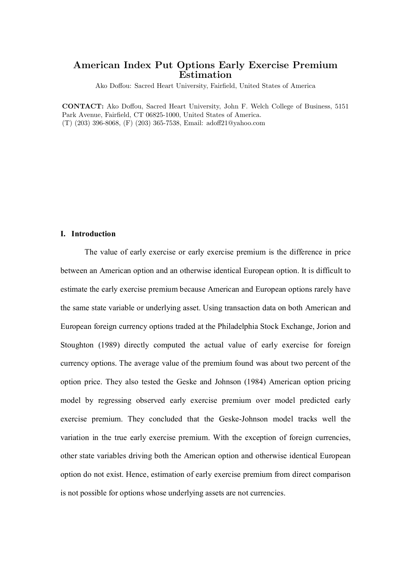## American Index Put Options Early Exercise Premium **Estimation**

Ako Doffou: Sacred Heart University, Fairfield, United States of America

**CONTACT:** Ako Doffou, Sacred Heart University, John F. Welch College of Business, 5151 Park Avenue, Fairfield, CT 06825-1000, United States of America. (T) (203) 396-8068, (F) (203) 365-7538, Email: adoff21@yahoo.com

### I. Introduction

The value of early exercise or early exercise premium is the difference in price between an American option and an otherwise identical European option. It is difficult to estimate the early exercise premium because American and European options rarely have the same state variable or underlying asset. Using transaction data on both American and European foreign currency options traded at the Philadelphia Stock Exchange, Jorion and Stoughton (1989) directly computed the actual value of early exercise for foreign currency options. The average value of the premium found was about two percent of the option price. They also tested the Geske and Johnson (1984) American option pricing model by regressing observed early exercise premium over model predicted early exercise premium. They concluded that the Geske-Johnson model tracks well the variation in the true early exercise premium. With the exception of foreign currencies, other state variables driving both the American option and otherwise identical European option do not exist. Hence, estimation of early exercise premium from direct comparison is not possible for options whose underlying assets are not currencies.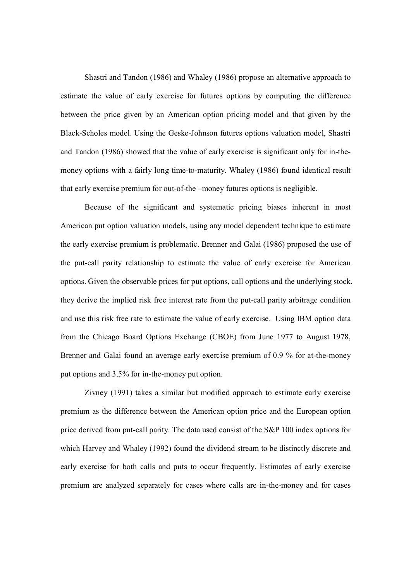Shastri and Tandon (1986) and Whaley (1986) propose an alternative approach to estimate the value of early exercise for futures options by computing the difference between the price given by an American option pricing model and that given by the Black-Scholes model. Using the Geske-Johnson futures options valuation model, Shastri and Tandon (1986) showed that the value of early exercise is significant only for in-themoney options with a fairly long time-to-maturity. Whaley (1986) found identical result that early exercise premium for out-of-the –money futures options is negligible.

Because of the significant and systematic pricing biases inherent in most American put option valuation models, using any model dependent technique to estimate the early exercise premium is problematic. Brenner and Galai (1986) proposed the use of the put-call parity relationship to estimate the value of early exercise for American options. Given the observable prices for put options, call options and the underlying stock, they derive the implied risk free interest rate from the put-call parity arbitrage condition and use this risk free rate to estimate the value of early exercise. Using IBM option data from the Chicago Board Options Exchange (CBOE) from June 1977 to August 1978, Brenner and Galai found an average early exercise premium of 0.9 % for at-the-money put options and 3.5% for in-the-money put option.

Zivney (1991) takes a similar but modified approach to estimate early exercise premium as the difference between the American option price and the European option price derived from put-call parity. The data used consist of the S&P 100 index options for which Harvey and Whaley (1992) found the dividend stream to be distinctly discrete and early exercise for both calls and puts to occur frequently. Estimates of early exercise premium are analyzed separately for cases where calls are in-the-money and for cases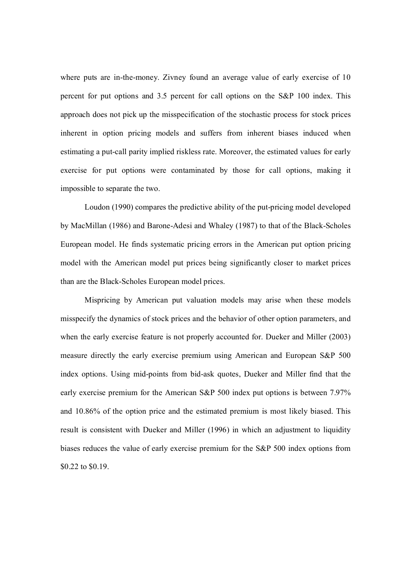where puts are in-the-money. Zivney found an average value of early exercise of 10 percent for put options and 3.5 percent for call options on the S&P 100 index. This approach does not pick up the misspecification of the stochastic process for stock prices inherent in option pricing models and suffers from inherent biases induced when estimating a put-call parity implied riskless rate. Moreover, the estimated values for early exercise for put options were contaminated by those for call options, making it impossible to separate the two.

Loudon (1990) compares the predictive ability of the put-pricing model developed by MacMillan (1986) and Barone-Adesi and Whaley (1987) to that of the Black-Scholes European model. He finds systematic pricing errors in the American put option pricing model with the American model put prices being significantly closer to market prices than are the Black-Scholes European model prices.

Mispricing by American put valuation models may arise when these models misspecify the dynamics of stock prices and the behavior of other option parameters, and when the early exercise feature is not properly accounted for. Dueker and Miller (2003) measure directly the early exercise premium using American and European S&P 500 index options. Using mid-points from bid-ask quotes, Dueker and Miller find that the early exercise premium for the American S&P 500 index put options is between 7.97% and 10.86% of the option price and the estimated premium is most likely biased. This result is consistent with Dueker and Miller (1996) in which an adjustment to liquidity biases reduces the value of early exercise premium for the S&P 500 index options from \$0.22 to \$0.19.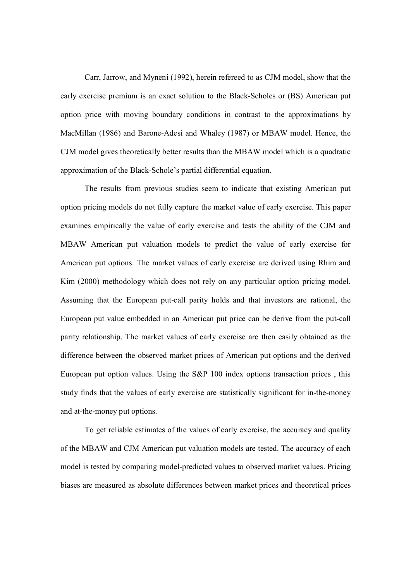Carr, Jarrow, and Myneni (1992), herein refereed to as CJM model, show that the early exercise premium is an exact solution to the Black-Scholes or (BS) American put option price with moving boundary conditions in contrast to the approximations by MacMillan (1986) and Barone-Adesi and Whaley (1987) or MBAW model. Hence, the CJM model gives theoretically better results than the MBAW model which is a quadratic approximation of the Black-Schole's partial differential equation.

The results from previous studies seem to indicate that existing American put option pricing models do not fully capture the market value of early exercise. This paper examines empirically the value of early exercise and tests the ability of the CJM and MBAW American put valuation models to predict the value of early exercise for American put options. The market values of early exercise are derived using Rhim and Kim (2000) methodology which does not rely on any particular option pricing model. Assuming that the European put-call parity holds and that investors are rational, the European put value embedded in an American put price can be derive from the put-call parity relationship. The market values of early exercise are then easily obtained as the difference between the observed market prices of American put options and the derived European put option values. Using the S&P 100 index options transaction prices, this study finds that the values of early exercise are statistically significant for in-the-money and at-the-money put options.

To get reliable estimates of the values of early exercise, the accuracy and quality of the MBAW and CJM American put valuation models are tested. The accuracy of each model is tested by comparing model-predicted values to observed market values. Pricing biases are measured as absolute differences between market prices and theoretical prices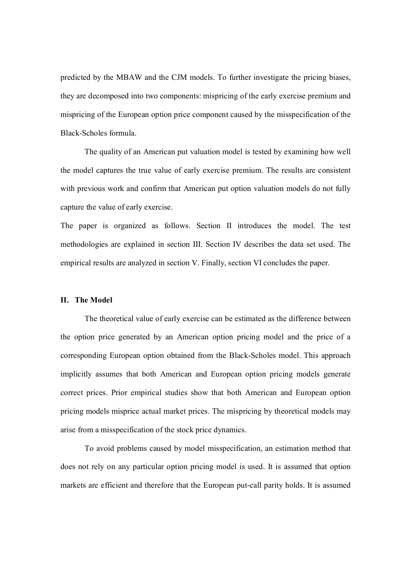predicted by the MBAW and the CJM models. To further investigate the pricing biases, they are decomposed into two components: mispricing of the early exercise premium and mispricing of the European option price component caused by the misspecification of the Black-Scholes formula.

The quality of an American put valuation model is tested by examining how well the model captures the true value of early exercise premium. The results are consistent with previous work and confirm that American put option valuation models do not fully capture the value of early exercise.

The paper is organized as follows. Section II introduces the model. The test methodologies are explained in section III. Section IV describes the data set used. The empirical results are analyzed in section V. Finally, section VI concludes the paper.

#### **II.** The Model

The theoretical value of early exercise can be estimated as the difference between the option price generated by an American option pricing model and the price of a corresponding European option obtained from the Black-Scholes model. This approach implicitly assumes that both American and European option pricing models generate correct prices. Prior empirical studies show that both American and European option pricing models misprice actual market prices. The mispricing by theoretical models may arise from a misspecification of the stock price dynamics.

To avoid problems caused by model misspecification, an estimation method that does not rely on any particular option pricing model is used. It is assumed that option markets are efficient and therefore that the European put-call parity holds. It is assumed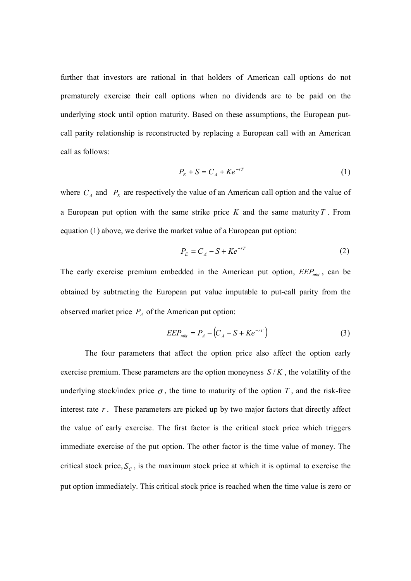further that investors are rational in that holders of American call options do not prematurely exercise their call options when no dividends are to be paid on the underlying stock until option maturity. Based on these assumptions, the European putcall parity relationship is reconstructed by replacing a European call with an American call as follows:

$$
P_E + S = C_A + Ke^{-rT}
$$
\n<sup>(1)</sup>

where  $C_A$  and  $P_E$  are respectively the value of an American call option and the value of a European put option with the same strike price  $K$  and the same maturity  $T$ . From equation (1) above, we derive the market value of a European put option:

$$
P_E = C_A - S + Ke^{-rT}
$$
 (2)

The early exercise premium embedded in the American put option,  $EEP_{mkt}$ , can be obtained by subtracting the European put value imputable to put-call parity from the observed market price  $P_A$  of the American put option:

$$
EEP_{mk} = P_A - (C_A - S + Ke^{-rT}) \tag{3}
$$

The four parameters that affect the option price also affect the option early exercise premium. These parameters are the option moneyness  $S/K$ , the volatility of the underlying stock/index price  $\sigma$ , the time to maturity of the option T, and the risk-free interest rate  $r$ . These parameters are picked up by two major factors that directly affect the value of early exercise. The first factor is the critical stock price which triggers immediate exercise of the put option. The other factor is the time value of money. The critical stock price,  $S_c$ , is the maximum stock price at which it is optimal to exercise the put option immediately. This critical stock price is reached when the time value is zero or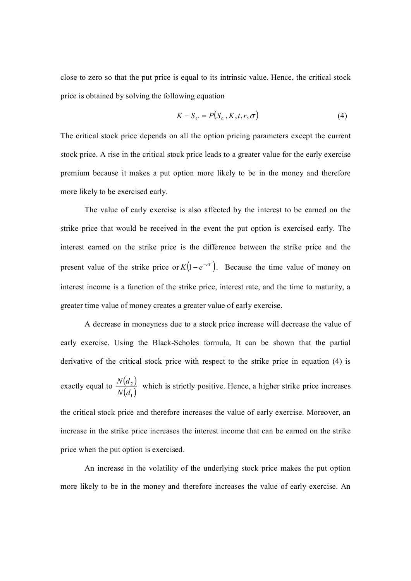close to zero so that the put price is equal to its intrinsic value. Hence, the critical stock price is obtained by solving the following equation

$$
K - S_C = P(S_C, K, t, r, \sigma) \tag{4}
$$

The critical stock price depends on all the option pricing parameters except the current stock price. A rise in the critical stock price leads to a greater value for the early exercise premium because it makes a put option more likely to be in the money and therefore more likely to be exercised early.

The value of early exercise is also affected by the interest to be earned on the strike price that would be received in the event the put option is exercised early. The interest earned on the strike price is the difference between the strike price and the present value of the strike price or  $K(1-e^{-rT})$ . Because the time value of money on interest income is a function of the strike price, interest rate, and the time to maturity, a greater time value of money creates a greater value of early exercise.

A decrease in moneyness due to a stock price increase will decrease the value of early exercise. Using the Black-Scholes formula, It can be shown that the partial derivative of the critical stock price with respect to the strike price in equation (4) is exactly equal to  $\frac{N(d_2)}{N(d_1)}$  which is strictly positive. Hence, a higher strike price increases the critical stock price and therefore increases the value of early exercise. Moreover, an increase in the strike price increases the interest income that can be earned on the strike price when the put option is exercised.

An increase in the volatility of the underlying stock price makes the put option more likely to be in the money and therefore increases the value of early exercise. An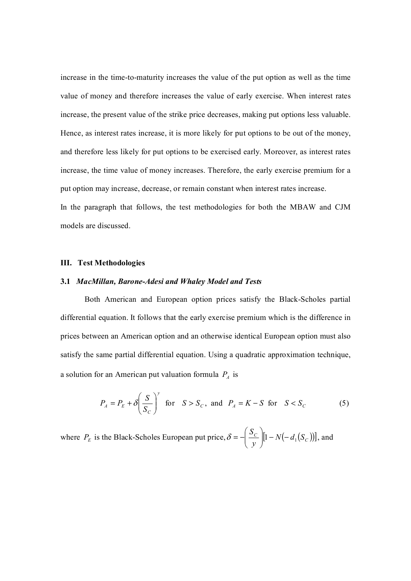increase in the time-to-maturity increases the value of the put option as well as the time value of money and therefore increases the value of early exercise. When interest rates increase, the present value of the strike price decreases, making put options less valuable. Hence, as interest rates increase, it is more likely for put options to be out of the money, and therefore less likely for put options to be exercised early. Moreover, as interest rates increase, the time value of money increases. Therefore, the early exercise premium for a put option may increase, decrease, or remain constant when interest rates increase. In the paragraph that follows, the test methodologies for both the MBAW and CJM models are discussed.

#### **III.** Test Methodologies

#### 3.1 MacMillan, Barone-Adesi and Whaley Model and Tests

Both American and European option prices satisfy the Black-Scholes partial differential equation. It follows that the early exercise premium which is the difference in prices between an American option and an otherwise identical European option must also satisfy the same partial differential equation. Using a quadratic approximation technique, a solution for an American put valuation formula  $P_A$  is

$$
P_A = P_E + \delta \left(\frac{S}{S_C}\right)^{\nu} \text{ for } S > S_C, \text{ and } P_A = K - S \text{ for } S < S_C
$$
 (5)

where  $P_E$  is the Black-Scholes European put price,  $\delta = -\left(\frac{S_C}{y}\right)[1 - N(-d_1(S_C))]$ , and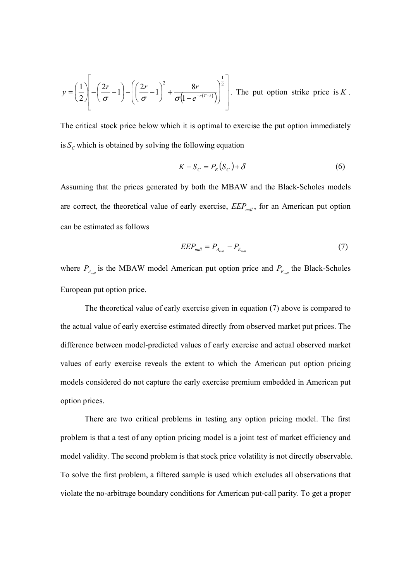$$
y = \left(\frac{1}{2}\right) \left[ -\left(\frac{2r}{\sigma} - 1\right) - \left(\left(\frac{2r}{\sigma} - 1\right)^2 + \frac{8r}{\sigma(1 - e^{-r(T-t)})}\right)^{\frac{1}{2}} \right].
$$
 The put option strike price is *K*.

The critical stock price below which it is optimal to exercise the put option immediately is  $S_c$  which is obtained by solving the following equation

$$
K - S_C = P_E(S_C) + \delta \tag{6}
$$

Assuming that the prices generated by both the MBAW and the Black-Scholes models are correct, the theoretical value of early exercise,  $EEP_{mdl}$ , for an American put option can be estimated as follows

$$
EEP_{\text{mdl}} = P_{A_{\text{mdl}}} - P_{E_{\text{mdl}}} \tag{7}
$$

where  $P_{A_{m,n}}$  is the MBAW model American put option price and  $P_{E_{m,n}}$  the Black-Scholes European put option price.

The theoretical value of early exercise given in equation (7) above is compared to the actual value of early exercise estimated directly from observed market put prices. The difference between model-predicted values of early exercise and actual observed market values of early exercise reveals the extent to which the American put option pricing models considered do not capture the early exercise premium embedded in American put option prices.

There are two critical problems in testing any option pricing model. The first problem is that a test of any option pricing model is a joint test of market efficiency and model validity. The second problem is that stock price volatility is not directly observable. To solve the first problem, a filtered sample is used which excludes all observations that violate the no-arbitrage boundary conditions for American put-call parity. To get a proper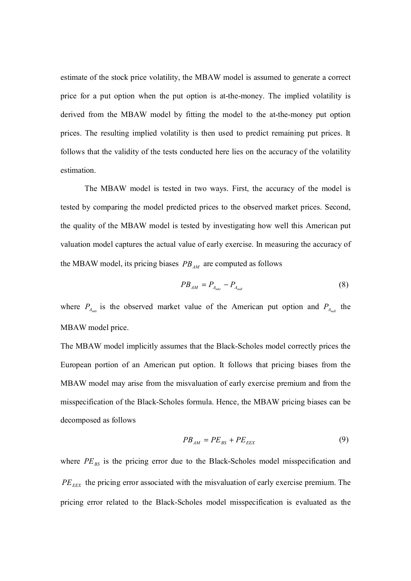estimate of the stock price volatility, the MBAW model is assumed to generate a correct price for a put option when the put option is at-the-money. The implied volatility is derived from the MBAW model by fitting the model to the at-the-money put option prices. The resulting implied volatility is then used to predict remaining put prices. It follows that the validity of the tests conducted here lies on the accuracy of the volatility estimation.

The MBAW model is tested in two ways. First, the accuracy of the model is tested by comparing the model predicted prices to the observed market prices. Second. the quality of the MBAW model is tested by investigating how well this American put valuation model captures the actual value of early exercise. In measuring the accuracy of the MBAW model, its pricing biases  $PB<sub>AM</sub>$  are computed as follows

$$
PB_{AM} = P_{A_{mkt}} - P_{A_{mdl}} \tag{8}
$$

where  $P_{A_{mkt}}$  is the observed market value of the American put option and  $P_{A_{mdt}}$  the MBAW model price.

The MBAW model implicitly assumes that the Black-Scholes model correctly prices the European portion of an American put option. It follows that pricing biases from the MBAW model may arise from the misvaluation of early exercise premium and from the misspecification of the Black-Scholes formula. Hence, the MBAW pricing biases can be decomposed as follows

$$
PB_{AM} = PE_{BS} + PE_{EEX} \tag{9}
$$

where  $PE_{BS}$  is the pricing error due to the Black-Scholes model misspecification and  $PE_{\text{EEX}}$  the pricing error associated with the misvaluation of early exercise premium. The pricing error related to the Black-Scholes model misspecification is evaluated as the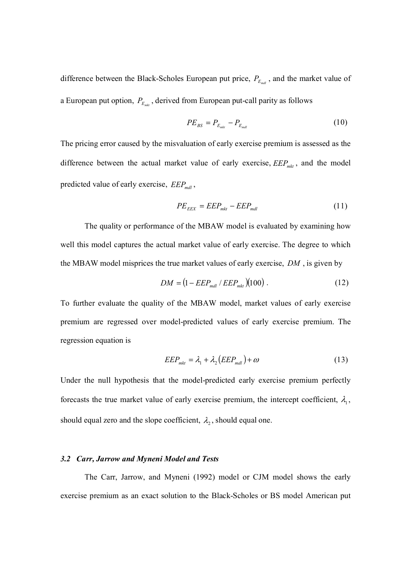difference between the Black-Scholes European put price,  $P_{E_{net}}$ , and the market value of a European put option,  $P_{E_{\text{max}}}$ , derived from European put-call parity as follows

$$
PE_{BS} = P_{E_{mkt}} - P_{E_{mdl}} \tag{10}
$$

The pricing error caused by the misvaluation of early exercise premium is assessed as the difference between the actual market value of early exercise,  $EEP_{mkt}$ , and the model predicted value of early exercise,  $EEP_{mdl}$ ,

$$
PE_{EEX} = EEP_{mkt} - EEP_{mdl} \tag{11}
$$

The quality or performance of the MBAW model is evaluated by examining how well this model captures the actual market value of early exercise. The degree to which the MBAW model misprices the true market values of early exercise, DM, is given by

$$
DM = \left(1 - EEP_{\text{mdl}} / EEP_{\text{mkt}}\right) \left(100\right) \,. \tag{12}
$$

To further evaluate the quality of the MBAW model, market values of early exercise premium are regressed over model-predicted values of early exercise premium. The regression equation is

$$
EEP_{mk} = \lambda_1 + \lambda_2 (EEP_{mdl}) + \omega \tag{13}
$$

Under the null hypothesis that the model-predicted early exercise premium perfectly forecasts the true market value of early exercise premium, the intercept coefficient,  $\lambda_1$ , should equal zero and the slope coefficient,  $\lambda_2$ , should equal one.

#### 3.2 Carr, Jarrow and Myneni Model and Tests

The Carr, Jarrow, and Myneni (1992) model or CJM model shows the early exercise premium as an exact solution to the Black-Scholes or BS model American put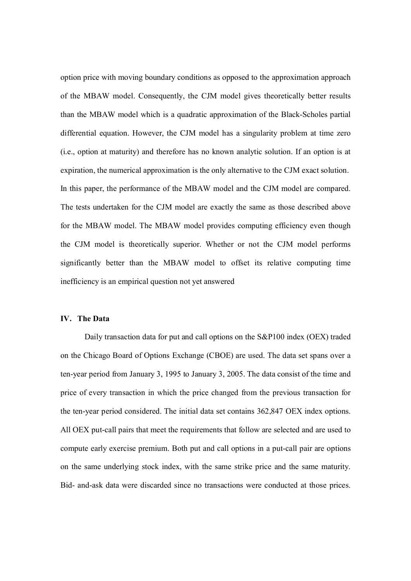option price with moving boundary conditions as opposed to the approximation approach of the MBAW model. Consequently, the CJM model gives theoretically better results than the MBAW model which is a quadratic approximation of the Black-Scholes partial differential equation. However, the CJM model has a singularity problem at time zero (i.e., option at maturity) and therefore has no known analytic solution. If an option is at expiration, the numerical approximation is the only alternative to the CJM exact solution. In this paper, the performance of the MBAW model and the CJM model are compared. The tests undertaken for the CJM model are exactly the same as those described above for the MBAW model. The MBAW model provides computing efficiency even though the CJM model is theoretically superior. Whether or not the CJM model performs significantly better than the MBAW model to offset its relative computing time inefficiency is an empirical question not yet answered

#### **IV.** The Data

Daily transaction data for put and call options on the S&P100 index (OEX) traded on the Chicago Board of Options Exchange (CBOE) are used. The data set spans over a ten-year period from January 3, 1995 to January 3, 2005. The data consist of the time and price of every transaction in which the price changed from the previous transaction for the ten-year period considered. The initial data set contains 362,847 OEX index options. All OEX put-call pairs that meet the requirements that follow are selected and are used to compute early exercise premium. Both put and call options in a put-call pair are options on the same underlying stock index, with the same strike price and the same maturity. Bid- and-ask data were discarded since no transactions were conducted at those prices.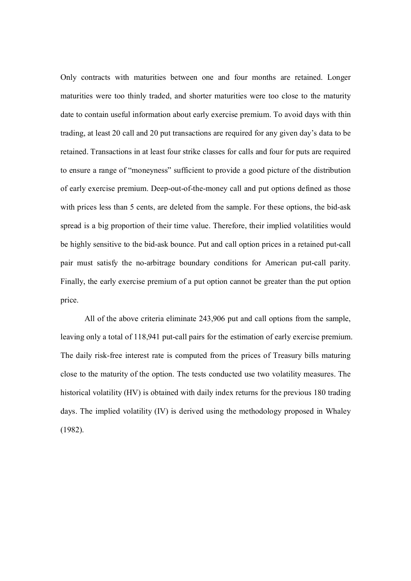Only contracts with maturities between one and four months are retained. Longer maturities were too thinly traded, and shorter maturities were too close to the maturity date to contain useful information about early exercise premium. To avoid days with thin trading, at least 20 call and 20 put transactions are required for any given day's data to be retained. Transactions in at least four strike classes for calls and four for puts are required to ensure a range of "moneyness" sufficient to provide a good picture of the distribution of early exercise premium. Deep-out-of-the-money call and put options defined as those with prices less than 5 cents, are deleted from the sample. For these options, the bid-ask spread is a big proportion of their time value. Therefore, their implied volatilities would be highly sensitive to the bid-ask bounce. Put and call option prices in a retained put-call pair must satisfy the no-arbitrage boundary conditions for American put-call parity. Finally, the early exercise premium of a put option cannot be greater than the put option price.

All of the above criteria eliminate 243,906 put and call options from the sample, leaving only a total of 118,941 put-call pairs for the estimation of early exercise premium. The daily risk-free interest rate is computed from the prices of Treasury bills maturing close to the maturity of the option. The tests conducted use two volatility measures. The historical volatility (HV) is obtained with daily index returns for the previous 180 trading days. The implied volatility (IV) is derived using the methodology proposed in Whaley  $(1982)$ .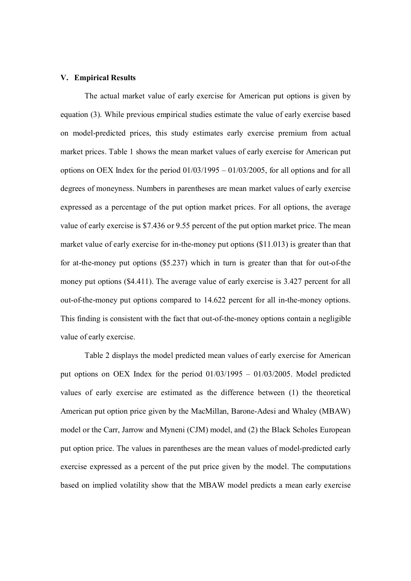#### **V.** Empirical Results

The actual market value of early exercise for American put options is given by equation (3). While previous empirical studies estimate the value of early exercise based on model-predicted prices, this study estimates early exercise premium from actual market prices. Table 1 shows the mean market values of early exercise for American put options on OEX Index for the period  $01/03/1995 - 01/03/2005$ , for all options and for all degrees of moneyness. Numbers in parentheses are mean market values of early exercise expressed as a percentage of the put option market prices. For all options, the average value of early exercise is \$7.436 or 9.55 percent of the put option market price. The mean market value of early exercise for in-the-money put options (\$11.013) is greater than that for at-the-money put options (\$5.237) which in turn is greater than that for out-of-the money put options (\$4.411). The average value of early exercise is 3.427 percent for all out-of-the-money put options compared to 14.622 percent for all in-the-money options. This finding is consistent with the fact that out-of-the-money options contain a negligible value of early exercise.

Table 2 displays the model predicted mean values of early exercise for American put options on OEX Index for the period  $01/03/1995 - 01/03/2005$ . Model predicted values of early exercise are estimated as the difference between (1) the theoretical American put option price given by the MacMillan, Barone-Adesi and Whaley (MBAW) model or the Carr, Jarrow and Myneni (CJM) model, and (2) the Black Scholes European put option price. The values in parentheses are the mean values of model-predicted early exercise expressed as a percent of the put price given by the model. The computations based on implied volatility show that the MBAW model predicts a mean early exercise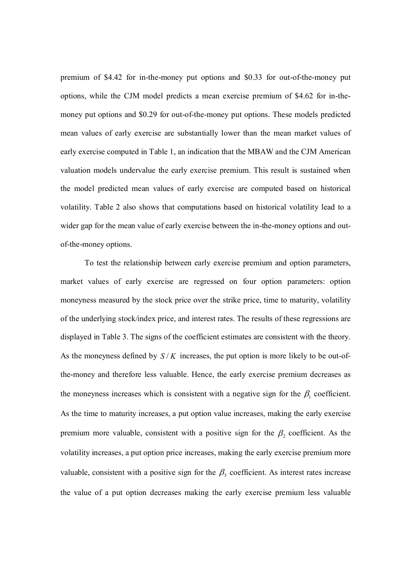premium of \$4.42 for in-the-money put options and \$0.33 for out-of-the-money put options, while the CJM model predicts a mean exercise premium of \$4.62 for in-themoney put options and \$0.29 for out-of-the-money put options. These models predicted mean values of early exercise are substantially lower than the mean market values of early exercise computed in Table 1, an indication that the MBAW and the CJM American valuation models undervalue the early exercise premium. This result is sustained when the model predicted mean values of early exercise are computed based on historical volatility. Table 2 also shows that computations based on historical volatility lead to a wider gap for the mean value of early exercise between the in-the-money options and outof-the-money options.

To test the relationship between early exercise premium and option parameters, market values of early exercise are regressed on four option parameters: option moneyness measured by the stock price over the strike price, time to maturity, volatility of the underlying stock/index price, and interest rates. The results of these regressions are displayed in Table 3. The signs of the coefficient estimates are consistent with the theory. As the moneyness defined by  $S/K$  increases, the put option is more likely to be out-ofthe-money and therefore less valuable. Hence, the early exercise premium decreases as the moneyness increases which is consistent with a negative sign for the  $\beta_1$  coefficient. As the time to maturity increases, a put option value increases, making the early exercise premium more valuable, consistent with a positive sign for the  $\beta$ , coefficient. As the volatility increases, a put option price increases, making the early exercise premium more valuable, consistent with a positive sign for the  $\beta_3$  coefficient. As interest rates increase the value of a put option decreases making the early exercise premium less valuable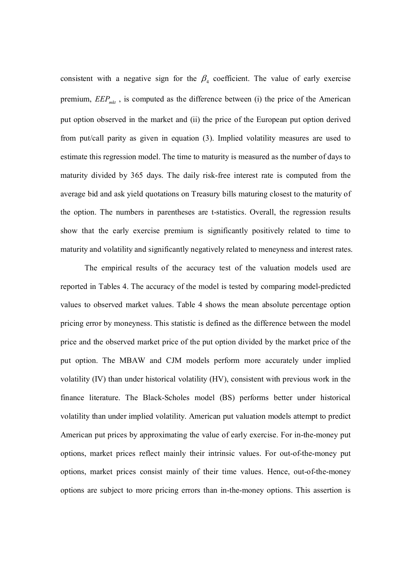consistent with a negative sign for the  $\beta_4$  coefficient. The value of early exercise premium,  $EEP_{mkt}$ , is computed as the difference between (i) the price of the American put option observed in the market and (ii) the price of the European put option derived from put/call parity as given in equation (3). Implied volatility measures are used to estimate this regression model. The time to maturity is measured as the number of days to maturity divided by 365 days. The daily risk-free interest rate is computed from the average bid and ask yield quotations on Treasury bills maturing closest to the maturity of the option. The numbers in parentheses are t-statistics. Overall, the regression results show that the early exercise premium is significantly positively related to time to maturity and volatility and significantly negatively related to meneyness and interest rates.

The empirical results of the accuracy test of the valuation models used are reported in Tables 4. The accuracy of the model is tested by comparing model-predicted values to observed market values. Table 4 shows the mean absolute percentage option pricing error by moneyness. This statistic is defined as the difference between the model price and the observed market price of the put option divided by the market price of the put option. The MBAW and CJM models perform more accurately under implied volatility (IV) than under historical volatility (HV), consistent with previous work in the finance literature. The Black-Scholes model (BS) performs better under historical volatility than under implied volatility. American put valuation models attempt to predict American put prices by approximating the value of early exercise. For in-the-money put options, market prices reflect mainly their intrinsic values. For out-of-the-money put options, market prices consist mainly of their time values. Hence, out-of-the-money options are subject to more pricing errors than in-the-money options. This assertion is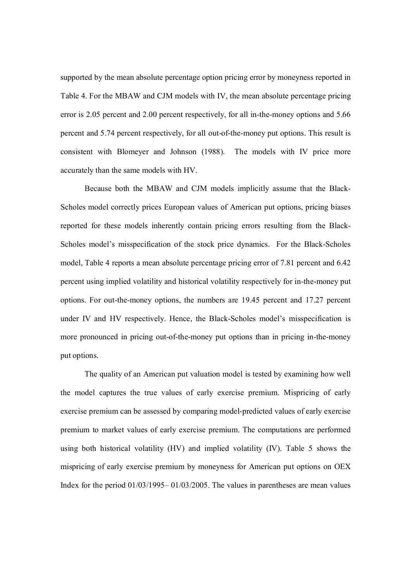supported by the mean absolute percentage option pricing error by moneyness reported in Table 4. For the MBAW and CJM models with IV, the mean absolute percentage pricing error is 2.05 percent and 2.00 percent respectively, for all in-the-money options and 5.66 percent and 5.74 percent respectively, for all out-of-the-money put options. This result is consistent with Blomeyer and Johnson (1988). The models with IV price more accurately than the same models with HV.

Because both the MBAW and CJM models implicitly assume that the Black-Scholes model correctly prices European values of American put options, pricing biases reported for these models inherently contain pricing errors resulting from the Black-Scholes model's misspecification of the stock price dynamics. For the Black-Scholes model, Table 4 reports a mean absolute percentage pricing error of 7.81 percent and 6.42 percent using implied volatility and historical volatility respectively for in-the-money put options. For out-the-money options, the numbers are 19.45 percent and 17.27 percent under IV and HV respectively. Hence, the Black-Scholes model's misspecification is more pronounced in pricing out-of-the-money put options than in pricing in-the-money put options.

The quality of an American put valuation model is tested by examining how well the model captures the true values of early exercise premium. Mispricing of early exercise premium can be assessed by comparing model-predicted values of early exercise premium to market values of early exercise premium. The computations are performed using both historical volatility (HV) and implied volatility (IV). Table 5 shows the mispricing of early exercise premium by moneyness for American put options on OEX Index for the period  $01/03/1995 - 01/03/2005$ . The values in parentheses are mean values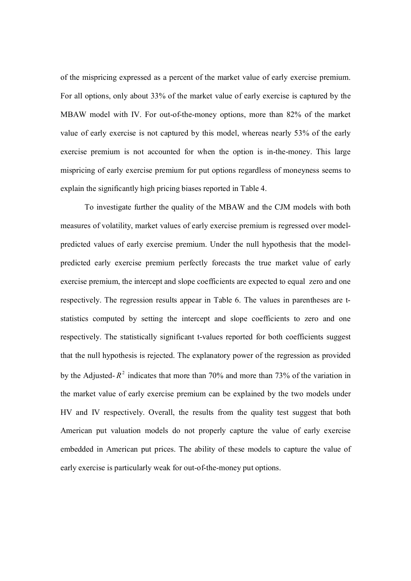of the mispricing expressed as a percent of the market value of early exercise premium. For all options, only about 33% of the market value of early exercise is captured by the MBAW model with IV. For out-of-the-money options, more than 82% of the market value of early exercise is not captured by this model, whereas nearly 53% of the early exercise premium is not accounted for when the option is in-the-money. This large mispricing of early exercise premium for put options regardless of moneyness seems to explain the significantly high pricing biases reported in Table 4.

To investigate further the quality of the MBAW and the CJM models with both measures of volatility, market values of early exercise premium is regressed over modelpredicted values of early exercise premium. Under the null hypothesis that the modelpredicted early exercise premium perfectly forecasts the true market value of early exercise premium, the intercept and slope coefficients are expected to equal zero and one respectively. The regression results appear in Table 6. The values in parentheses are tstatistics computed by setting the intercept and slope coefficients to zero and one respectively. The statistically significant t-values reported for both coefficients suggest that the null hypothesis is rejected. The explanatory power of the regression as provided by the Adiusted- $R^2$  indicates that more than 70% and more than 73% of the variation in the market value of early exercise premium can be explained by the two models under HV and IV respectively. Overall, the results from the quality test suggest that both American put valuation models do not properly capture the value of early exercise embedded in American put prices. The ability of these models to capture the value of early exercise is particularly weak for out-of-the-money put options.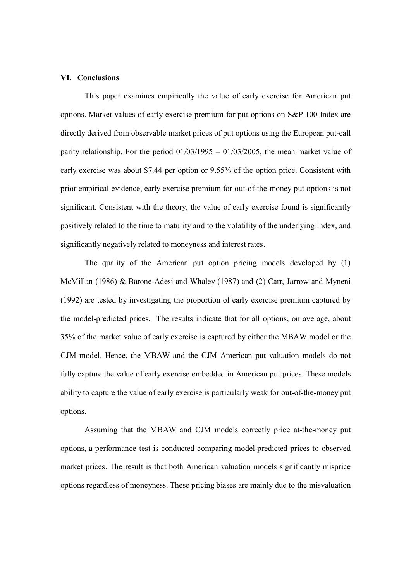#### VI. Conclusions

This paper examines empirically the value of early exercise for American put options. Market values of early exercise premium for put options on S&P 100 Index are directly derived from observable market prices of put options using the European put-call parity relationship. For the period  $01/03/1995 - 01/03/2005$ , the mean market value of early exercise was about \$7.44 per option or 9.55% of the option price. Consistent with prior empirical evidence, early exercise premium for out-of-the-money put options is not significant. Consistent with the theory, the value of early exercise found is significantly positively related to the time to maturity and to the volatility of the underlying Index, and significantly negatively related to moneyness and interest rates.

The quality of the American put option pricing models developed by (1) McMillan (1986) & Barone-Adesi and Whaley (1987) and (2) Carr, Jarrow and Myneni (1992) are tested by investigating the proportion of early exercise premium captured by the model-predicted prices. The results indicate that for all options, on average, about 35% of the market value of early exercise is captured by either the MBAW model or the CJM model. Hence, the MBAW and the CJM American put valuation models do not fully capture the value of early exercise embedded in American put prices. These models ability to capture the value of early exercise is particularly weak for out-of-the-money put options.

Assuming that the MBAW and CJM models correctly price at-the-money put options, a performance test is conducted comparing model-predicted prices to observed market prices. The result is that both American valuation models significantly misprice options regardless of moneyness. These pricing biases are mainly due to the misvaluation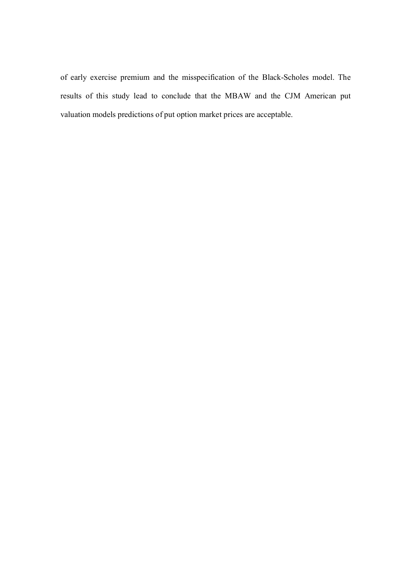of early exercise premium and the misspecification of the Black-Scholes model. The results of this study lead to conclude that the MBAW and the CJM American put valuation models predictions of put option market prices are acceptable.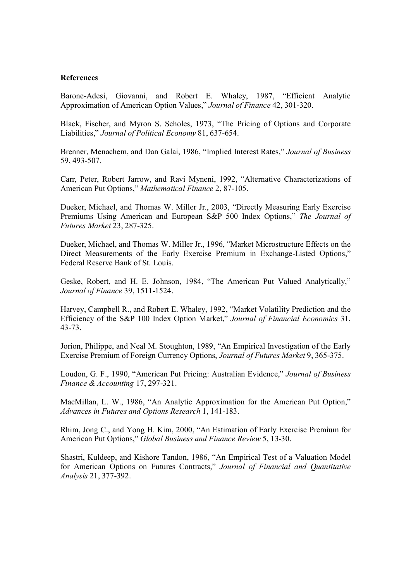#### **References**

Barone-Adesi, Giovanni, and Robert E. Whaley, 1987, "Efficient Analytic Approximation of American Option Values," Journal of Finance 42, 301-320.

Black, Fischer, and Myron S. Scholes, 1973, "The Pricing of Options and Corporate Liabilities," Journal of Political Economy 81, 637-654.

Brenner, Menachem, and Dan Galai, 1986, "Implied Interest Rates," Journal of Business 59, 493-507.

Carr, Peter, Robert Jarrow, and Ravi Myneni, 1992, "Alternative Characterizations of American Put Options," Mathematical Finance 2, 87-105.

Dueker, Michael, and Thomas W. Miller Jr., 2003, "Directly Measuring Early Exercise Premiums Using American and European S&P 500 Index Options," The Journal of Futures Market 23, 287-325.

Dueker, Michael, and Thomas W. Miller Jr., 1996, "Market Microstructure Effects on the Direct Measurements of the Early Exercise Premium in Exchange-Listed Options," Federal Reserve Bank of St. Louis.

Geske, Robert, and H. E. Johnson, 1984, "The American Put Valued Analytically," Journal of Finance 39, 1511-1524.

Harvey, Campbell R., and Robert E. Whaley, 1992, "Market Volatility Prediction and the Efficiency of the S&P 100 Index Option Market," Journal of Financial Economics 31,  $43 - 73$ 

Jorion, Philippe, and Neal M. Stoughton, 1989, "An Empirical Investigation of the Early Exercise Premium of Foreign Currency Options, Journal of Futures Market 9, 365-375.

Loudon, G. F., 1990, "American Put Pricing: Australian Evidence," Journal of Business Finance & Accounting 17, 297-321.

MacMillan, L. W., 1986, "An Analytic Approximation for the American Put Option," Advances in Futures and Options Research 1, 141-183.

Rhim, Jong C., and Yong H. Kim, 2000, "An Estimation of Early Exercise Premium for American Put Options," Global Business and Finance Review 5, 13-30.

Shastri, Kuldeep, and Kishore Tandon, 1986, "An Empirical Test of a Valuation Model for American Options on Futures Contracts," Journal of Financial and Ouantitative Analysis 21, 377-392.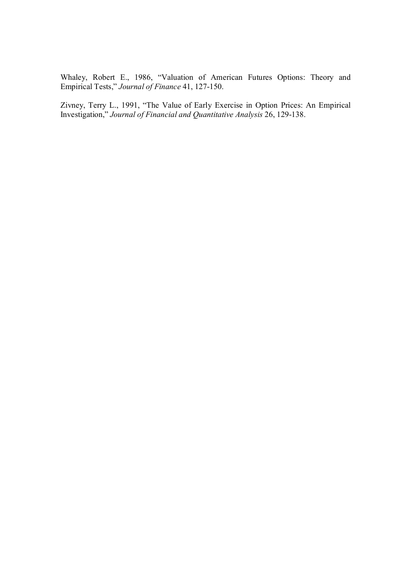Whaley, Robert E., 1986, "Valuation of American Futures Options: Theory and Empirical Tests," Journal of Finance 41, 127-150.

Zivney, Terry L., 1991, "The Value of Early Exercise in Option Prices: An Empirical Investigation," Journal of Financial and Quantitative Analysis 26, 129-138.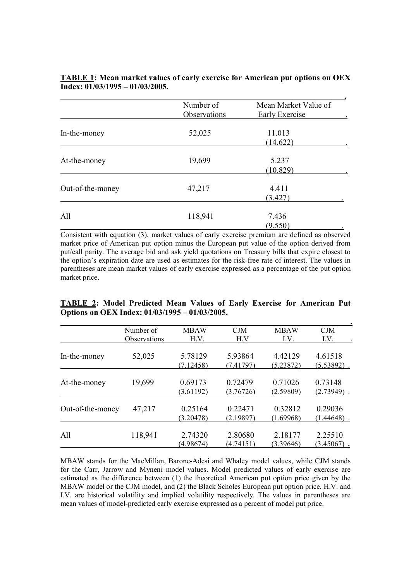|                  | Number of    | Mean Market Value of |
|------------------|--------------|----------------------|
|                  | Observations | Early Exercise       |
| In-the-money     | 52,025       | 11.013               |
|                  |              | (14.622)             |
| At-the-money     | 19,699       | 5.237                |
|                  |              | (10.829)             |
| Out-of-the-money | 47,217       | 4.411                |
|                  |              | (3.427)              |
| All              | 118,941      | 7.436                |
|                  |              | (9.550)              |

## **TABLE 1:** Mean market values of early exercise for American put options on OEX  $\overline{\text{Index}: 01/03/1995} - 01/03/2005.$

Consistent with equation (3), market values of early exercise premium are defined as observed market price of American put option minus the European put value of the option derived from put/call parity. The average bid and ask yield quotations on Treasury bills that expire closest to the option's expiration date are used as estimates for the risk-free rate of interest. The values in parentheses are mean market values of early exercise expressed as a percentage of the put option market price.

|  |                                                |  |  |  | <b>TABLE 2: Model Predicted Mean Values of Early Exercise for American Put</b> |  |
|--|------------------------------------------------|--|--|--|--------------------------------------------------------------------------------|--|
|  | Options on OEX Index: 01/03/1995 – 01/03/2005. |  |  |  |                                                                                |  |

|                  | Number of           | <b>MBAW</b> | CJM       | <b>MBAW</b> | CJM           |
|------------------|---------------------|-------------|-----------|-------------|---------------|
|                  | <b>Observations</b> | H.V.        | H.V       | I.V.        | I.V.          |
|                  |                     |             |           |             |               |
| In-the-money     | 52,025              | 5.78129     | 5.93864   | 4.42129     | 4.61518       |
|                  |                     | (7.12458)   | (7.41797) | (5.23872)   | (5.53892)     |
|                  |                     |             |           |             |               |
| At-the-money     | 19,699              | 0.69173     | 0.72479   | 0.71026     | 0.73148       |
|                  |                     | (3.61192)   | (3.76726) | (2.59809)   | (2.73949)     |
|                  |                     |             |           |             |               |
| Out-of-the-money | 47,217              | 0.25164     | 0.22471   | 0.32812     | 0.29036       |
|                  |                     | (3.20478)   | (2.19897) | (1.69968)   | (1.44648)     |
|                  |                     |             |           |             |               |
| All              | 118,941             | 2.74320     | 2.80680   | 2.18177     | 2.25510       |
|                  |                     | (4.98674)   | (4.74151) | (3.39646)   | $(3.45067)$ . |

MBAW stands for the MacMillan, Barone-Adesi and Whaley model values, while CJM stands for the Carr, Jarrow and Myneni model values. Model predicted values of early exercise are estimated as the difference between (1) the theoretical American put option price given by the MBAW model or the CJM model, and (2) the Black Scholes European put option price. H.V. and I.V. are historical volatility and implied volatility respectively. The values in parentheses are mean values of model-predicted early exercise expressed as a percent of model put price.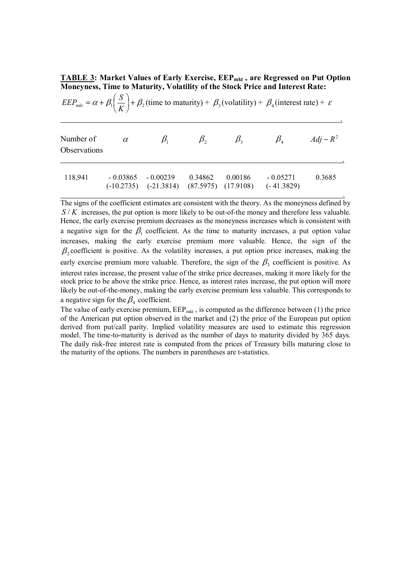**TABLE 3: Market Values of Early Exercise, EEP**<sub>mkt</sub>, are Regressed on Put Option Moneyness, Time to Maturity, Volatility of the Stock Price and Interest Rate:

|                                  |                            |             |                                     |                      | $EEP_{mkt} = \alpha + \beta_1 \left( \frac{S}{K} \right) + \beta_2$ (time to maturity) + $\beta_3$ (volatility) + $\beta_4$ (interest rate) + $\varepsilon$ |             |
|----------------------------------|----------------------------|-------------|-------------------------------------|----------------------|-------------------------------------------------------------------------------------------------------------------------------------------------------------|-------------|
| Number of<br><b>Observations</b> | $\alpha$                   | $\beta_{1}$ | $\beta$ ,                           | $\beta_{3}$          | $\beta_{\scriptscriptstyle 4}$                                                                                                                              | $Adj - R^2$ |
| 118,941                          | $-0.03865$<br>$(-10.2735)$ | $-0.00239$  | 0.34862<br>$(-21.3814)$ $(87.5975)$ | 0.00186<br>(17.9108) | $-0.05271$<br>$(-41.3829)$                                                                                                                                  | 0.3685      |

The signs of the coefficient estimates are consistent with the theory. As the moneyness defined by  $S/K$  increases, the put option is more likely to be out-of-the money and therefore less valuable. Hence, the early exercise premium decreases as the moneyness increases which is consistent with a negative sign for the  $\beta_1$  coefficient. As the time to maturity increases, a put option value increases, making the early exercise premium more valuable. Hence, the sign of the  $\beta$ , coefficient is positive. As the volatility increases, a put option price increases, making the early exercise premium more valuable. Therefore, the sign of the  $\beta_3$  coefficient is positive. As interest rates increase, the present value of the strike price decreases, making it more likely for the stock price to be above the strike price. Hence, as interest rates increase, the put option will more likely be out-of-the-money, making the early exercise premium less valuable. This corresponds to a negative sign for the  $\beta_4$  coefficient.

The value of early exercise premium,  $EEP_{mkt}$ , is computed as the difference between (1) the price of the American put option observed in the market and (2) the price of the European put option derived from put/call parity. Implied volatility measures are used to estimate this regression model. The time-to-maturity is derived as the number of days to maturity divided by 365 days. The daily risk-free interest rate is computed from the prices of Treasury bills maturing close to the maturity of the options. The numbers in parentheses are t-statistics.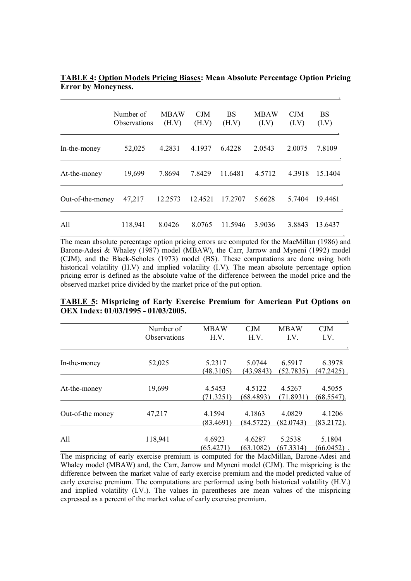|                  | Number of<br>Observations | <b>MBAW</b><br>(H.V) | CJM<br>(H.V) | <b>BS</b><br>(H.V) | <b>MBAW</b><br>(LV) | <b>CJM</b><br>(I.V) | <b>BS</b><br>(I.V) |
|------------------|---------------------------|----------------------|--------------|--------------------|---------------------|---------------------|--------------------|
| In-the-money     | 52,025                    | 4.2831               | 4.1937       | 6.4228             | 2.0543              | 2.0075              | 7.8109             |
| At-the-money     | 19,699                    | 7.8694               | 7.8429       | 11.6481            | 4.5712              | 4.3918              | 15.1404            |
| Out-of-the-money | 47,217                    | 12.2573              | 12.4521      | 17.2707            | 5.6628              | 5.7404              | 19.4461            |
| A11              | 118,941                   | 8.0426               | 8.0765       | 11.5946            | 3.9036              | 3.8843              | 13.6437            |

**TABLE 4: Option Models Pricing Biases: Mean Absolute Percentage Option Pricing Error by Moneyness.** 

The mean absolute percentage option pricing errors are computed for the MacMillan (1986) and Barone-Adesi & Whaley (1987) model (MBAW), the Carr, Jarrow and Myneni (1992) model (CJM), and the Black-Scholes (1973) model (BS). These computations are done using both historical volatility (H.V) and implied volatility (I.V). The mean absolute percentage option pricing error is defined as the absolute value of the difference between the model price and the observed market price divided by the market price of the put option.

| <b>TABLE 5: Mispricing of Early Exercise Premium for American Put Options on</b> |  |  |  |  |
|----------------------------------------------------------------------------------|--|--|--|--|
| OEX Index: 01/03/1995 - 01/03/2005.                                              |  |  |  |  |

|                  | Number of<br><b>Observations</b> | <b>MBAW</b><br>H.V. | <b>CJM</b><br>H.V.  | <b>MBAW</b><br>I.V. | <b>CJM</b><br>I.V.      |
|------------------|----------------------------------|---------------------|---------------------|---------------------|-------------------------|
| In-the-money     | 52,025                           | 5.2317<br>(48.3105) | 5.0744<br>(43.9843) | 6.5917<br>(52.7835) | 6.3978<br>$(47.2425)$ . |
| At-the-money     | 19,699                           | 4.5453<br>(71.3251) | 4.5122<br>(68.4893) | 4.5267<br>(71.8931) | 4.5055<br>$(68.5547)$ . |
| Out-of-the money | 47,217                           | 4.1594<br>(83.4691) | 4.1863<br>(84.5722) | 4.0829<br>(82.0743) | 4.1206<br>(83.2172).    |
| All              | 118,941                          | 4.6923<br>(65.4271) | 4.6287<br>(63.1082) | 5.2538<br>(67.3314) | 5.1804<br>(66.0452)     |

The mispricing of early exercise premium is computed for the MacMillan, Barone-Adesi and Whaley model (MBAW) and, the Carr, Jarrow and Myneni model (CJM). The mispricing is the difference between the market value of early exercise premium and the model predicted value of early exercise premium. The computations are performed using both historical volatility  $(H.V.)$ and implied volatility (I.V.). The values in parentheses are mean values of the mispricing expressed as a percent of the market value of early exercise premium.